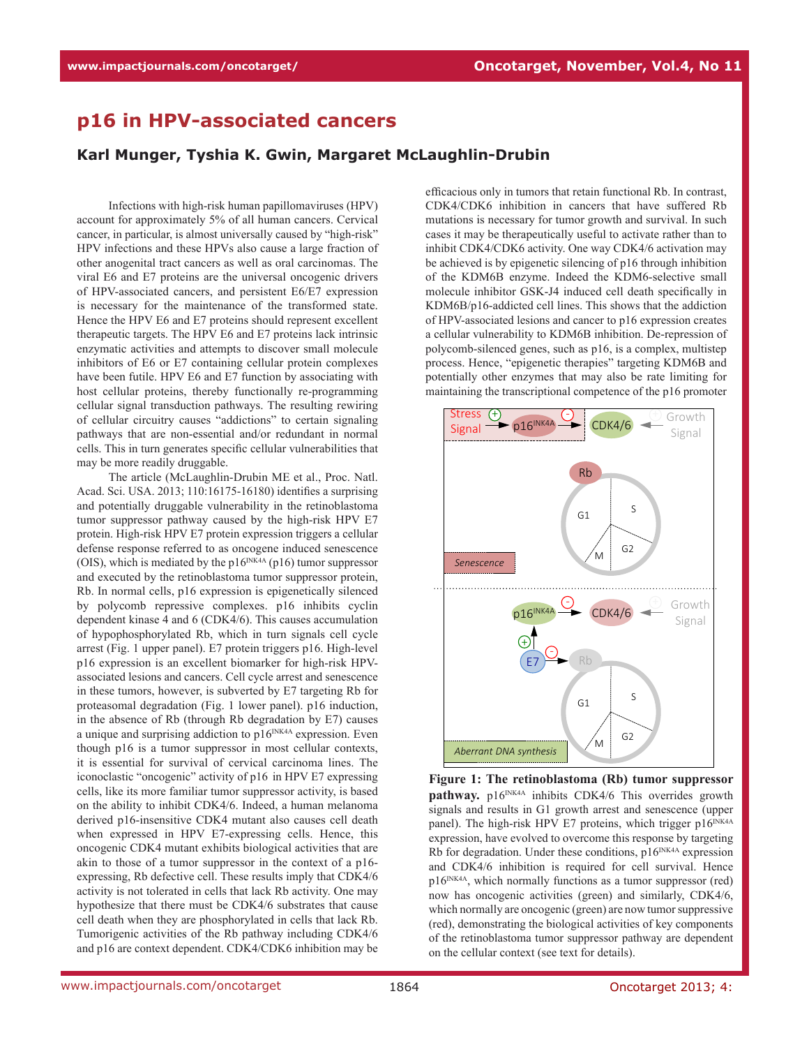## **p16 in HPV-associated cancers**

## **Karl Munger, Tyshia K. Gwin, Margaret McLaughlin-Drubin**

Infections with high-risk human papillomaviruses (HPV) account for approximately 5% of all human cancers. Cervical cancer, in particular, is almost universally caused by "high-risk" HPV infections and these HPVs also cause a large fraction of other anogenital tract cancers as well as oral carcinomas. The viral E6 and E7 proteins are the universal oncogenic drivers of HPV-associated cancers, and persistent E6/E7 expression is necessary for the maintenance of the transformed state. Hence the HPV E6 and E7 proteins should represent excellent therapeutic targets. The HPV E6 and E7 proteins lack intrinsic enzymatic activities and attempts to discover small molecule inhibitors of E6 or E7 containing cellular protein complexes have been futile. HPV E6 and E7 function by associating with host cellular proteins, thereby functionally re-programming cellular signal transduction pathways. The resulting rewiring of cellular circuitry causes "addictions" to certain signaling pathways that are non-essential and/or redundant in normal cells. This in turn generates specific cellular vulnerabilities that may be more readily druggable.

The article (McLaughlin-Drubin ME et al., Proc. Natl. Acad. Sci. USA. 2013; 110:16175-16180) identifies a surprising and potentially druggable vulnerability in the retinoblastoma tumor suppressor pathway caused by the high-risk HPV E7 protein. High-risk HPV E7 protein expression triggers a cellular defense response referred to as oncogene induced senescence (OIS), which is mediated by the  $p16^{INK4A}$  (p16) tumor suppressor and executed by the retinoblastoma tumor suppressor protein, Rb. In normal cells, p16 expression is epigenetically silenced by polycomb repressive complexes. p16 inhibits cyclin dependent kinase 4 and 6 (CDK4/6). This causes accumulation of hypophosphorylated Rb, which in turn signals cell cycle arrest (Fig. 1 upper panel). E7 protein triggers p16. High-level p16 expression is an excellent biomarker for high-risk HPVassociated lesions and cancers. Cell cycle arrest and senescence in these tumors, however, is subverted by E7 targeting Rb for proteasomal degradation (Fig. 1 lower panel). p16 induction, in the absence of Rb (through Rb degradation by E7) causes a unique and surprising addiction to  $p16^{INK4A}$  expression. Even though p16 is a tumor suppressor in most cellular contexts, it is essential for survival of cervical carcinoma lines. The iconoclastic "oncogenic" activity of p16 in HPV E7 expressing cells, like its more familiar tumor suppressor activity, is based on the ability to inhibit CDK4/6. Indeed, a human melanoma derived p16-insensitive CDK4 mutant also causes cell death when expressed in HPV E7-expressing cells. Hence, this oncogenic CDK4 mutant exhibits biological activities that are akin to those of a tumor suppressor in the context of a p16 expressing, Rb defective cell. These results imply that CDK4/6 activity is not tolerated in cells that lack Rb activity. One may hypothesize that there must be CDK4/6 substrates that cause cell death when they are phosphorylated in cells that lack Rb. Tumorigenic activities of the Rb pathway including CDK4/6 and p16 are context dependent. CDK4/CDK6 inhibition may be

efficacious only in tumors that retain functional Rb. In contrast, CDK4/CDK6 inhibition in cancers that have suffered Rb mutations is necessary for tumor growth and survival. In such cases it may be therapeutically useful to activate rather than to inhibit CDK4/CDK6 activity. One way CDK4/6 activation may be achieved is by epigenetic silencing of p16 through inhibition of the KDM6B enzyme. Indeed the KDM6-selective small molecule inhibitor GSK-J4 induced cell death specifically in KDM6B/p16-addicted cell lines. This shows that the addiction of HPV-associated lesions and cancer to p16 expression creates a cellular vulnerability to KDM6B inhibition. De-repression of polycomb-silenced genes, such as p16, is a complex, multistep process. Hence, "epigenetic therapies" targeting KDM6B and potentially other enzymes that may also be rate limiting for maintaining the transcriptional competence of the p16 promoter



**Figure 1: The retinoblastoma (Rb) tumor suppressor**  pathway. p16<sup>INK4A</sup> inhibits CDK4/6 This overrides growth signals and results in G1 growth arrest and senescence (upper panel). The high-risk HPV E7 proteins, which trigger  $p16^{INK4A}$ expression, have evolved to overcome this response by targeting Rb for degradation. Under these conditions,  $p16^{INK4A}$  expression and CDK4/6 inhibition is required for cell survival. Hence  $p16^{INK4A}$ , which normally functions as a tumor suppressor (red) now has oncogenic activities (green) and similarly, CDK4/6, which normally are oncogenic (green) are now tumor suppressive (red), demonstrating the biological activities of key components of the retinoblastoma tumor suppressor pathway are dependent on the cellular context (see text for details).